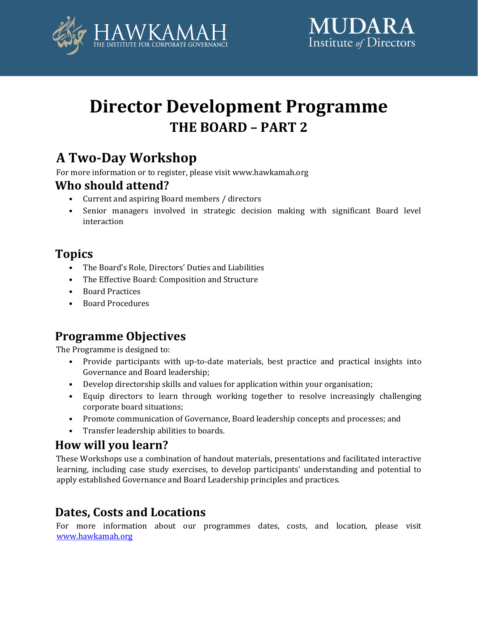

# **Director Development Programme THE BOARD – PART 2**

# **A Two-Day Workshop**

For more information or to register, please visit www.hawkamah.org

## **Who should attend?**

- Current and aspiring Board members / directors
- Senior managers involved in strategic decision making with significant Board level interaction

## **Topics**

- The Board's Role, Directors' Duties and Liabilities
- The Effective Board: Composition and Structure
- Board Practices
- Board Procedures

## **Programme Objectives**

The Programme is designed to:

- Provide participants with up-to-date materials, best practice and practical insights into Governance and Board leadership;
- Develop directorship skills and values for application within your organisation;
- Equip directors to learn through working together to resolve increasingly challenging corporate board situations;
- Promote communication of Governance, Board leadership concepts and processes; and
- Transfer leadership abilities to boards.

## **How will you learn?**

These Workshops use a combination of handout materials, presentations and facilitated interactive learning, including case study exercises, to develop participants' understanding and potential to apply established Governance and Board Leadership principles and practices.

## **Dates, Costs and Locations**

For more information about our programmes dates, costs, and location, please visit [www.hawkamah.org](http://www.hawkamah.org/)